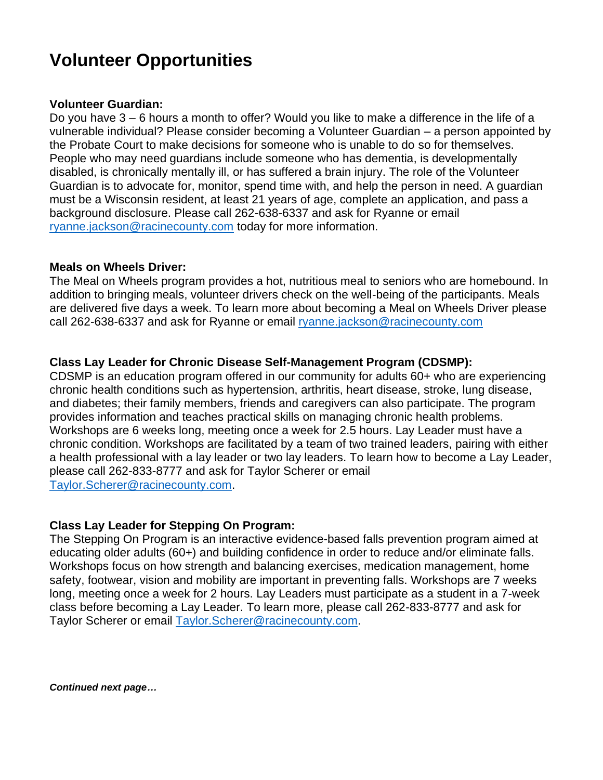# **Volunteer Opportunities**

### **Volunteer Guardian:**

Do you have 3 – 6 hours a month to offer? Would you like to make a difference in the life of a vulnerable individual? Please consider becoming a Volunteer Guardian – a person appointed by the Probate Court to make decisions for someone who is unable to do so for themselves. People who may need guardians include someone who has dementia, is developmentally disabled, is chronically mentally ill, or has suffered a brain injury. The role of the Volunteer Guardian is to advocate for, monitor, spend time with, and help the person in need. A guardian must be a Wisconsin resident, at least 21 years of age, complete an application, and pass a background disclosure. Please call 262-638-6337 and ask for Ryanne or email [ryanne.jackson@racinecounty.com](mailto:ryanne.jackson@racinecounty.com) today for more information.

#### **Meals on Wheels Driver:**

The Meal on Wheels program provides a hot, nutritious meal to seniors who are homebound. In addition to bringing meals, volunteer drivers check on the well-being of the participants. Meals are delivered five days a week. To learn more about becoming a Meal on Wheels Driver please call 262-638-6337 and ask for Ryanne or email [ryanne.jackson@racinecounty.com](mailto:ryanne.jackson@racinecounty.com)

## **Class Lay Leader for Chronic Disease Self-Management Program (CDSMP):**

CDSMP is an education program offered in our community for adults 60+ who are experiencing chronic health conditions such as hypertension, arthritis, heart disease, stroke, lung disease, and diabetes; their family members, friends and caregivers can also participate. The program provides information and teaches practical skills on managing chronic health problems. Workshops are 6 weeks long, meeting once a week for 2.5 hours. Lay Leader must have a chronic condition. Workshops are facilitated by a team of two trained leaders, pairing with either a health professional with a lay leader or two lay leaders. To learn how to become a Lay Leader, please call 262-833-8777 and ask for Taylor Scherer or email [Taylor.Scherer@racinecounty.com.](mailto:Taylor.Scherer@racinecounty.com)

## **Class Lay Leader for Stepping On Program:**

The Stepping On Program is an interactive evidence-based falls prevention program aimed at educating older adults (60+) and building confidence in order to reduce and/or eliminate falls. Workshops focus on how strength and balancing exercises, medication management, home safety, footwear, vision and mobility are important in preventing falls. Workshops are 7 weeks long, meeting once a week for 2 hours. Lay Leaders must participate as a student in a 7-week class before becoming a Lay Leader. To learn more, please call 262-833-8777 and ask for Taylor Scherer or email [Taylor.Scherer@racinecounty.com.](mailto:Taylor.Scherer@racinecounty.com)

*Continued next page…*